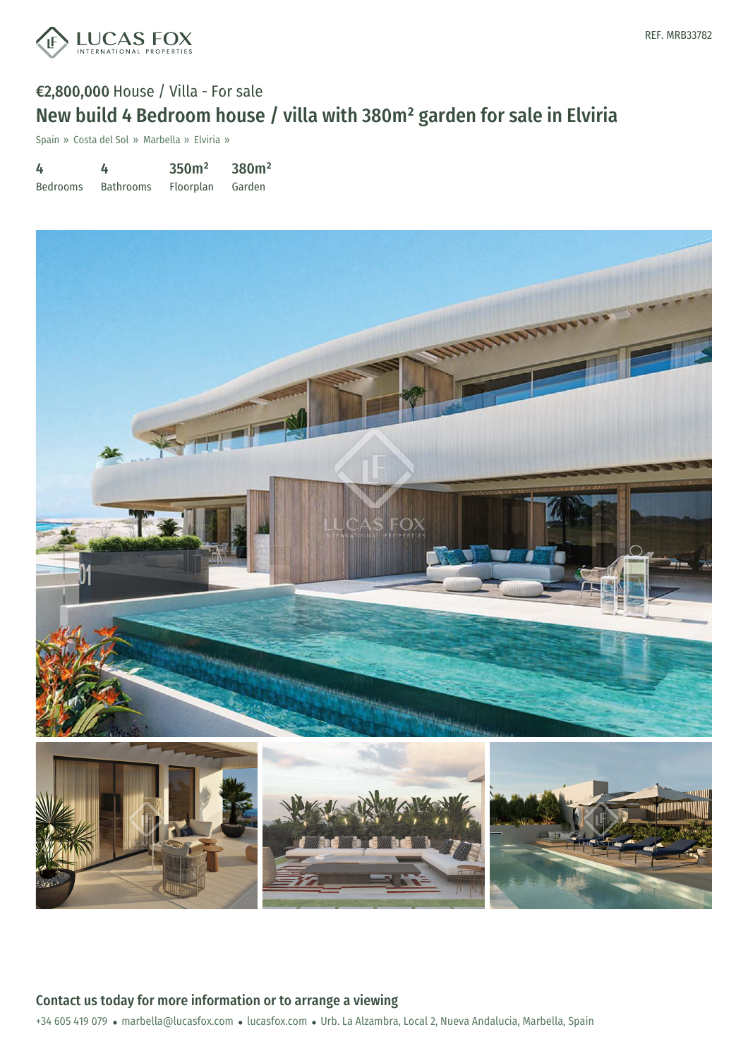

# €2,800,000 House / Villa - For sale New build 4 Bedroom house / villa with 380m² garden for sale in Elviria

Spain » Costa del Sol » Marbella » Elviria »

| 4               | 4                | 350 <sup>m²</sup> | 380m <sup>2</sup> |
|-----------------|------------------|-------------------|-------------------|
| <b>Bedrooms</b> | <b>Bathrooms</b> | Floorplan         | Garden            |



+34 605 419 079 · marbella@lucasfox.com · lucasfox.com · Urb. La Alzambra, Local 2, Nueva Andalucia, Marbella, Spain Contact us today for more information or to arrange a viewing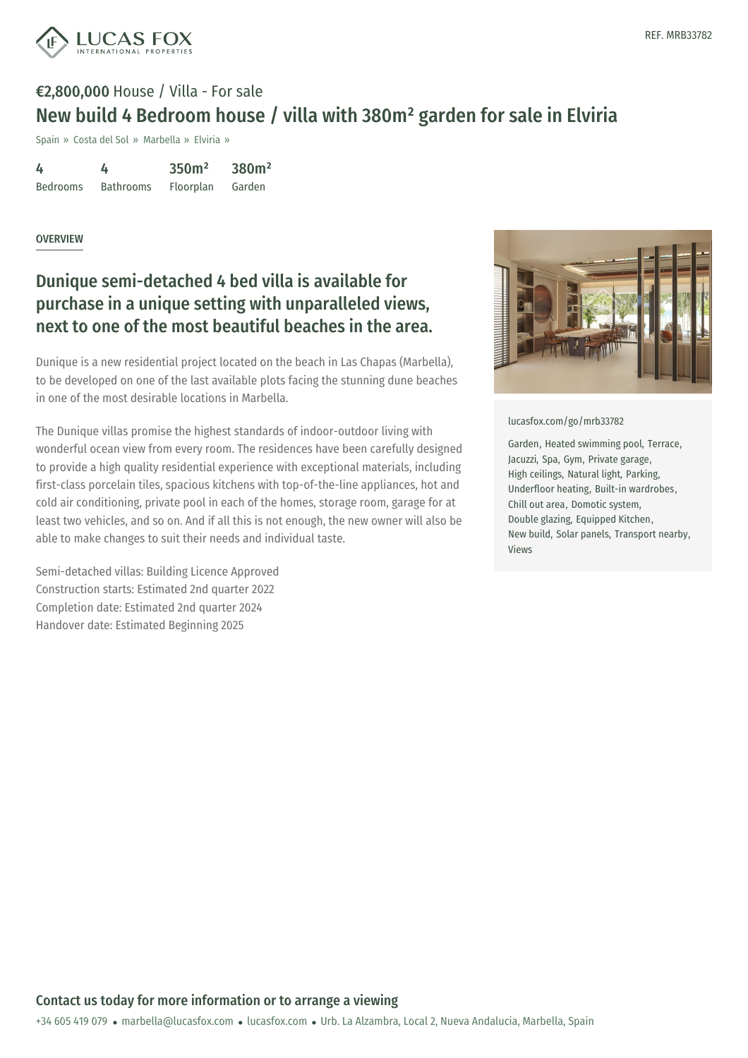

# €2,800,000 House / Villa - For sale New build 4 Bedroom house / villa with 380m² garden for sale in Elviria

Spain » Costa del Sol » Marbella » Elviria »

| 4               | 4                | 350 <sup>m²</sup> | 380m <sup>2</sup> |
|-----------------|------------------|-------------------|-------------------|
| <b>Bedrooms</b> | <b>Bathrooms</b> | Floorplan         | Garden            |

### **OVERVIEW**

## Dunique semi-detached 4 bed villa is available for purchase in a unique setting with unparalleled views, next to one of the most beautiful beaches in the area.

Dunique is a new residential project located on the beach in Las Chapas (Marbella), to be developed on one of the last available plots facing the stunning dune beaches in one of the most desirable locations in Marbella.

The Dunique villas promise the highest standards of indoor-outdoor living with wonderful ocean view from every room. The residences have been carefully designed to provide a high quality residential experience with exceptional materials, including first-class porcelain tiles, spacious kitchens with top-of-the-line appliances, hot and cold air conditioning, private pool in each of the homes, storage room, garage for at least two vehicles, and so on. And if all this is not enough, the new owner will also be able to make changes to suit their needs and individual taste.

Semi-detached villas: Building Licence Approved Construction starts: Estimated 2nd quarter 2022 Completion date: Estimated 2nd quarter 2024 Handover date: Estimated Beginning 2025



#### [lucasfox.com/go/mrb33782](https://www.lucasfox.com/go/mrb33782)

Garden, Heated swimming pool, Terrace, Jacuzzi, Spa, Gym, Private garage, High ceilings, Natural light, Parking, Underfloor heating, Built-in wardrobes, Chill out area, Domotic system, Double glazing, Equipped Kitchen, New build, Solar panels, Transport nearby, Views